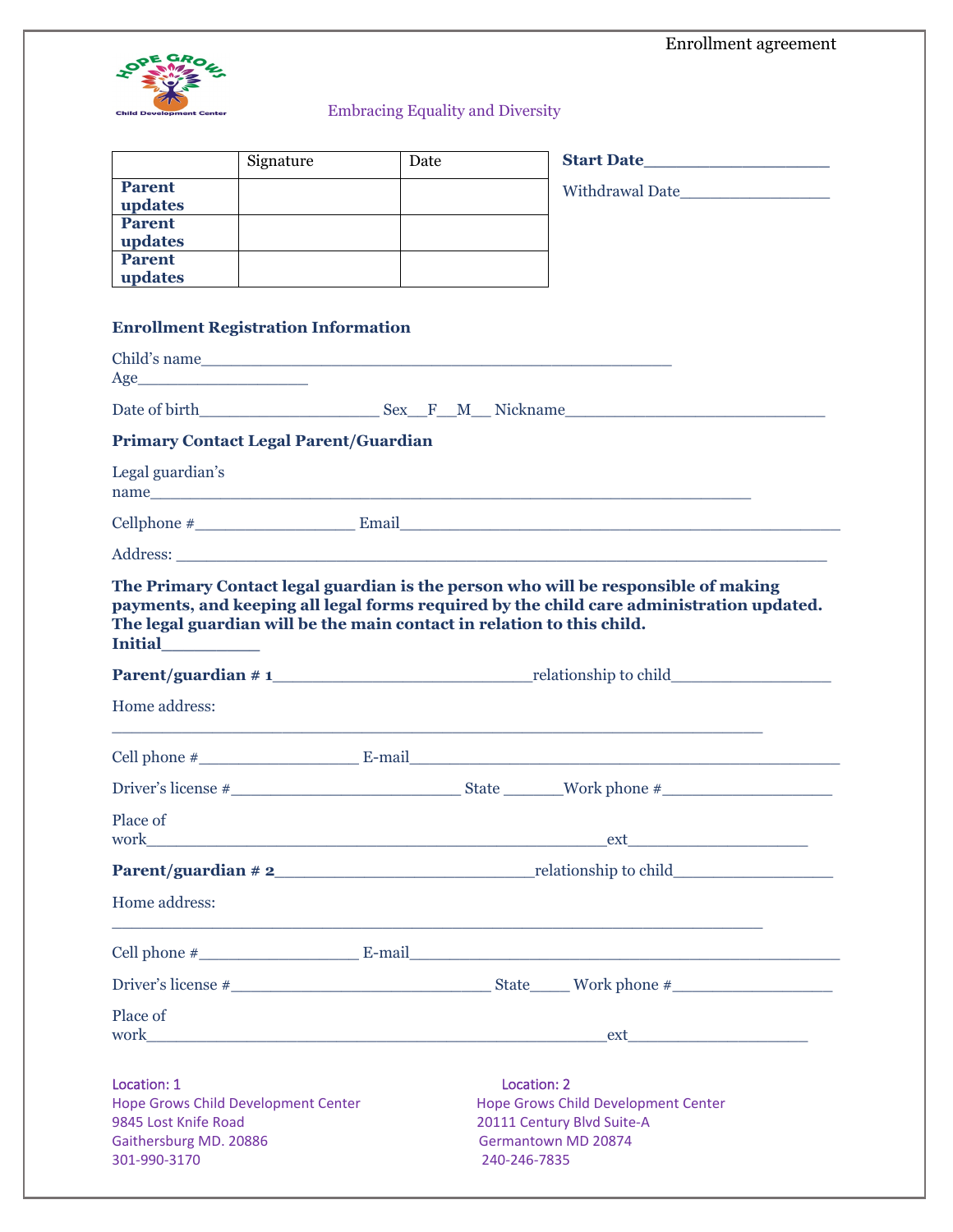|                                                                                                                                                                                                                                                                     |           |                                         |             |                                                   | Enrollment agreement |  |
|---------------------------------------------------------------------------------------------------------------------------------------------------------------------------------------------------------------------------------------------------------------------|-----------|-----------------------------------------|-------------|---------------------------------------------------|----------------------|--|
|                                                                                                                                                                                                                                                                     |           |                                         |             |                                                   |                      |  |
| <b>Child Development Center</b>                                                                                                                                                                                                                                     |           | <b>Embracing Equality and Diversity</b> |             |                                                   |                      |  |
|                                                                                                                                                                                                                                                                     |           |                                         |             |                                                   |                      |  |
|                                                                                                                                                                                                                                                                     | Signature | Date                                    |             |                                                   |                      |  |
| <b>Parent</b>                                                                                                                                                                                                                                                       |           |                                         |             |                                                   |                      |  |
| updates<br><b>Parent</b>                                                                                                                                                                                                                                            |           |                                         |             |                                                   |                      |  |
| updates<br><b>Parent</b>                                                                                                                                                                                                                                            |           |                                         |             |                                                   |                      |  |
| updates                                                                                                                                                                                                                                                             |           |                                         |             |                                                   |                      |  |
|                                                                                                                                                                                                                                                                     |           |                                         |             |                                                   |                      |  |
| <b>Enrollment Registration Information</b>                                                                                                                                                                                                                          |           |                                         |             |                                                   |                      |  |
|                                                                                                                                                                                                                                                                     |           |                                         |             |                                                   |                      |  |
| Date of birth Sex F M Nickname                                                                                                                                                                                                                                      |           |                                         |             |                                                   |                      |  |
|                                                                                                                                                                                                                                                                     |           |                                         |             |                                                   |                      |  |
| <b>Primary Contact Legal Parent/Guardian</b>                                                                                                                                                                                                                        |           |                                         |             |                                                   |                      |  |
| Legal guardian's                                                                                                                                                                                                                                                    |           |                                         |             |                                                   |                      |  |
| $\text{Cellphone } \#$ Email Email Email Email Email Email Email Email Email Email Email Email Email Email Email Email Email Email Email Email Email Email Email Email Email Email Email Email Email Email Email Email Email Email Email                            |           |                                         |             |                                                   |                      |  |
|                                                                                                                                                                                                                                                                     |           |                                         |             |                                                   |                      |  |
|                                                                                                                                                                                                                                                                     |           |                                         |             |                                                   |                      |  |
|                                                                                                                                                                                                                                                                     |           |                                         |             |                                                   |                      |  |
| The Primary Contact legal guardian is the person who will be responsible of making<br>payments, and keeping all legal forms required by the child care administration updated.<br>The legal guardian will be the main contact in relation to this child.<br>Initial |           |                                         |             |                                                   |                      |  |
|                                                                                                                                                                                                                                                                     |           |                                         |             |                                                   |                      |  |
| Home address:                                                                                                                                                                                                                                                       |           |                                         |             |                                                   |                      |  |
|                                                                                                                                                                                                                                                                     |           |                                         |             |                                                   |                      |  |
|                                                                                                                                                                                                                                                                     |           |                                         |             |                                                   |                      |  |
|                                                                                                                                                                                                                                                                     |           |                                         |             |                                                   |                      |  |
| Place of                                                                                                                                                                                                                                                            |           |                                         |             |                                                   |                      |  |
|                                                                                                                                                                                                                                                                     |           |                                         |             |                                                   |                      |  |
|                                                                                                                                                                                                                                                                     |           |                                         |             |                                                   |                      |  |
| Home address:                                                                                                                                                                                                                                                       |           |                                         |             |                                                   |                      |  |
|                                                                                                                                                                                                                                                                     |           |                                         |             |                                                   |                      |  |
|                                                                                                                                                                                                                                                                     |           |                                         |             |                                                   |                      |  |
| Place of                                                                                                                                                                                                                                                            |           |                                         |             |                                                   |                      |  |
|                                                                                                                                                                                                                                                                     |           |                                         |             |                                                   |                      |  |
|                                                                                                                                                                                                                                                                     |           |                                         |             |                                                   |                      |  |
| Location: 1<br>Hope Grows Child Development Center                                                                                                                                                                                                                  |           |                                         | Location: 2 | Hope Grows Child Development Center               |                      |  |
| 9845 Lost Knife Road<br>Gaithersburg MD. 20886                                                                                                                                                                                                                      |           |                                         |             | 20111 Century Blvd Suite-A<br>Germantown MD 20874 |                      |  |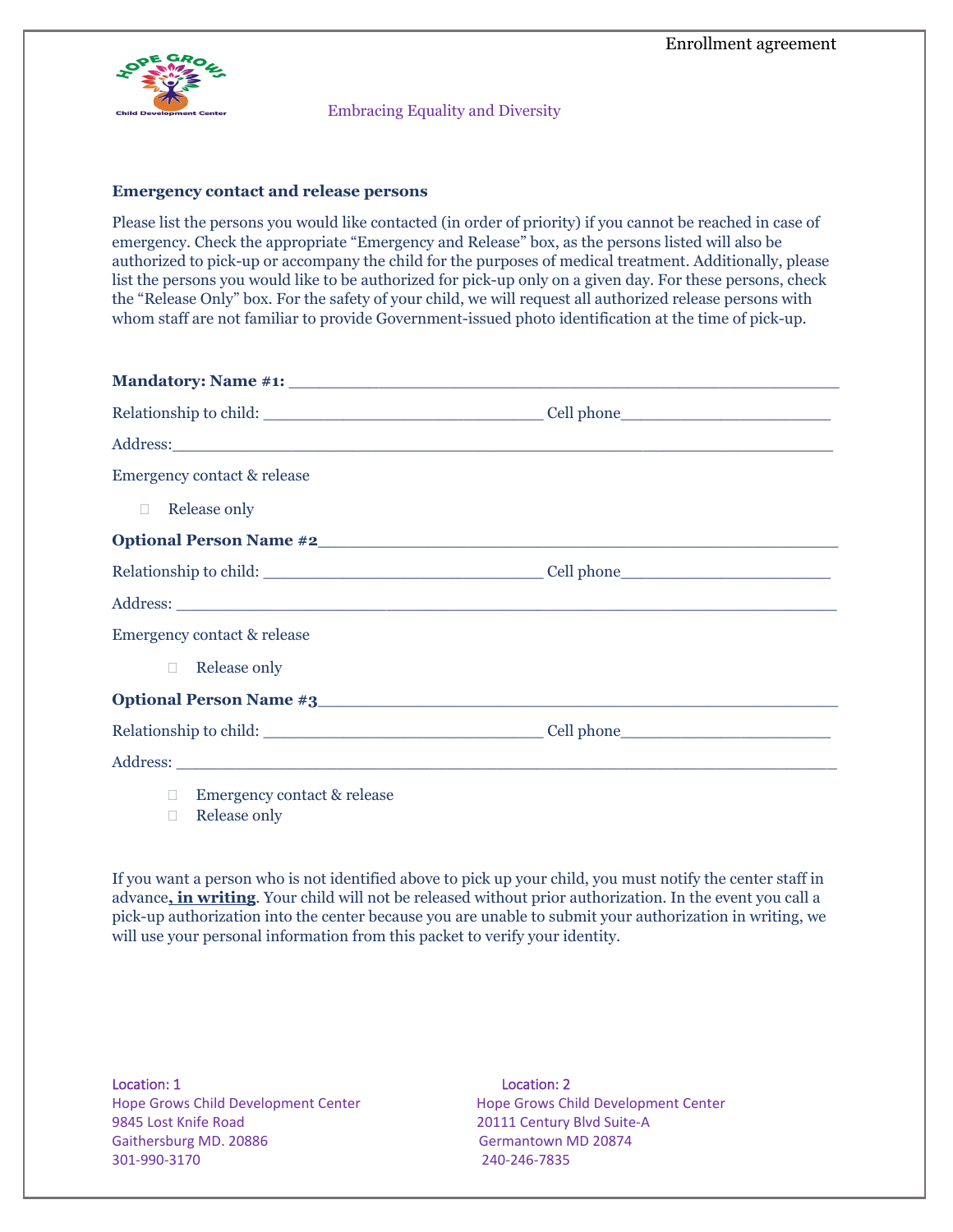

Embracing Equality and Diversity

### **Emergency contact and release persons**

Please list the persons you would like contacted (in order of priority) if you cannot be reached in case of emergency. Check the appropriate "Emergency and Release" box, as the persons listed will also be authorized to pick-up or accompany the child for the purposes of medical treatment. Additionally, please list the persons you would like to be authorized for pick-up only on a given day. For these persons, check the "Release Only" box. For the safety of your child, we will request all authorized release persons with whom staff are not familiar to provide Government-issued photo identification at the time of pick-up.

| Address:                      |  |
|-------------------------------|--|
| Emergency contact & release   |  |
| <b>Example 2</b> Release only |  |
|                               |  |
|                               |  |
|                               |  |
| Emergency contact & release   |  |
| $\Box$ Release only           |  |
|                               |  |
|                               |  |
|                               |  |
|                               |  |

- □ Emergency contact & release
- □ Release only

If you want a person who is not identified above to pick up your child, you must notify the center staff in advance**, in writing**. Your child will not be released without prior authorization. In the event you call a pick-up authorization into the center because you are unable to submit your authorization in writing, we will use your personal information from this packet to verify your identity.

Location: 1 Location: 2 Hope Grows Child Development Center Hope Grows Child Development Center 9845 Lost Knife Road 20111 Century Blvd Suite-A Gaithersburg MD. 20886 Gaithersburg MD. 20874 301-990-3170 240-246-7835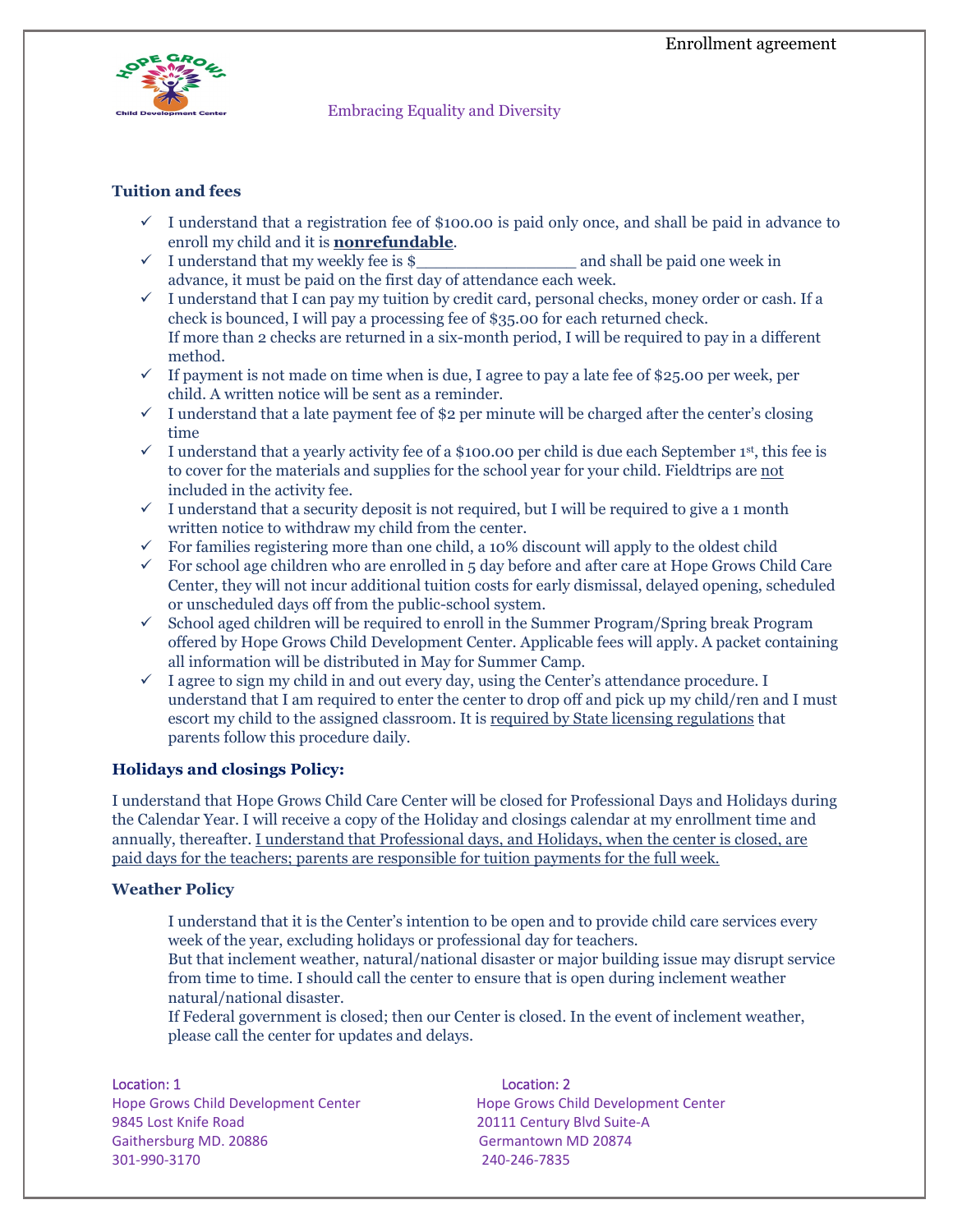

Embracing Equality and Diversity

# **Tuition and fees**

- $\checkmark$  I understand that a registration fee of \$100.00 is paid only once, and shall be paid in advance to enroll my child and it is **nonrefundable**.
- $\checkmark$  I understand that my weekly fee is \$ and shall be paid one week in advance, it must be paid on the first day of attendance each week.
- $\checkmark$  I understand that I can pay my tuition by credit card, personal checks, money order or cash. If a check is bounced, I will pay a processing fee of \$35.00 for each returned check. If more than 2 checks are returned in a six-month period, I will be required to pay in a different method.
- $\checkmark$  If payment is not made on time when is due, I agree to pay a late fee of \$25.00 per week, per child. A written notice will be sent as a reminder.
- $\checkmark$  I understand that a late payment fee of \$2 per minute will be charged after the center's closing time
- $\checkmark$  I understand that a yearly activity fee of a \$100.00 per child is due each September 1st, this fee is to cover for the materials and supplies for the school year for your child. Fieldtrips are not included in the activity fee.
- $\checkmark$  I understand that a security deposit is not required, but I will be required to give a 1 month written notice to withdraw my child from the center.
- $\checkmark$  For families registering more than one child, a 10% discount will apply to the oldest child
- $\checkmark$  For school age children who are enrolled in 5 day before and after care at Hope Grows Child Care Center, they will not incur additional tuition costs for early dismissal, delayed opening, scheduled or unscheduled days off from the public-school system.
- $\checkmark$  School aged children will be required to enroll in the Summer Program/Spring break Program offered by Hope Grows Child Development Center. Applicable fees will apply. A packet containing all information will be distributed in May for Summer Camp.
- $\checkmark$  I agree to sign my child in and out every day, using the Center's attendance procedure. I understand that I am required to enter the center to drop off and pick up my child/ren and I must escort my child to the assigned classroom. It is required by State licensing regulations that parents follow this procedure daily.

# **Holidays and closings Policy:**

I understand that Hope Grows Child Care Center will be closed for Professional Days and Holidays during the Calendar Year. I will receive a copy of the Holiday and closings calendar at my enrollment time and annually, thereafter. I understand that Professional days, and Holidays, when the center is closed, are paid days for the teachers; parents are responsible for tuition payments for the full week.

## **Weather Policy**

I understand that it is the Center's intention to be open and to provide child care services every week of the year, excluding holidays or professional day for teachers.

But that inclement weather, natural/national disaster or major building issue may disrupt service from time to time. I should call the center to ensure that is open during inclement weather natural/national disaster.

If Federal government is closed; then our Center is closed. In the event of inclement weather, please call the center for updates and delays.

9845 Lost Knife Road 20111 Century Blvd Suite-A Gaithersburg MD. 20886 Germantown MD 20874 301-990-3170 240-246-7835

### Location: 1 Location: 2

Hope Grows Child Development Center Hope Grows Child Development Center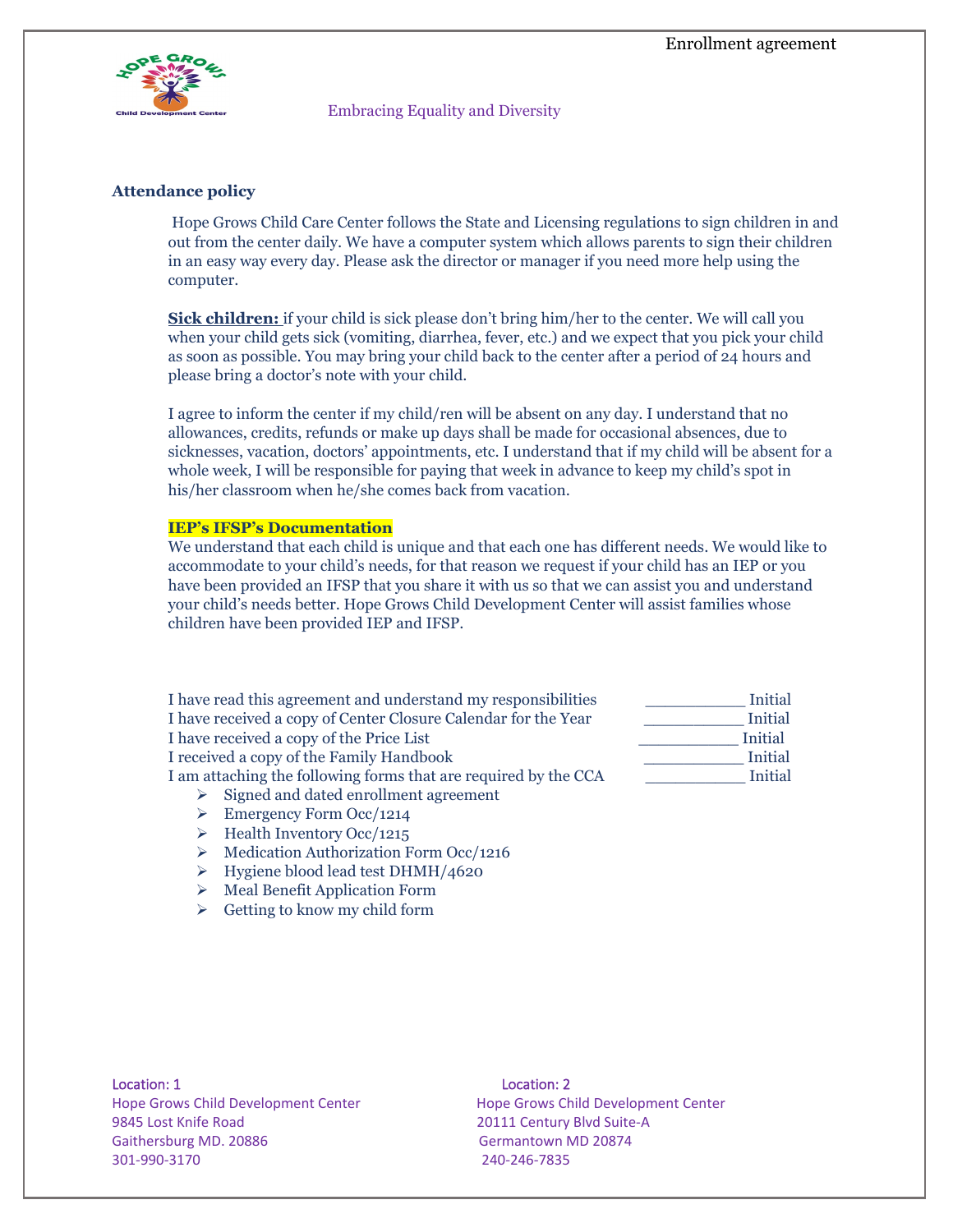

Embracing Equality and Diversity

# **Attendance policy**

Hope Grows Child Care Center follows the State and Licensing regulations to sign children in and out from the center daily. We have a computer system which allows parents to sign their children in an easy way every day. Please ask the director or manager if you need more help using the computer.

**Sick children:** if your child is sick please don't bring him/her to the center. We will call you when your child gets sick (vomiting, diarrhea, fever, etc.) and we expect that you pick your child as soon as possible. You may bring your child back to the center after a period of 24 hours and please bring a doctor's note with your child.

I agree to inform the center if my child/ren will be absent on any day. I understand that no allowances, credits, refunds or make up days shall be made for occasional absences, due to sicknesses, vacation, doctors' appointments, etc. I understand that if my child will be absent for a whole week, I will be responsible for paying that week in advance to keep my child's spot in his/her classroom when he/she comes back from vacation.

### **IEP's IFSP's Documentation**

We understand that each child is unique and that each one has different needs. We would like to accommodate to your child's needs, for that reason we request if your child has an IEP or you have been provided an IFSP that you share it with us so that we can assist you and understand your child's needs better. Hope Grows Child Development Center will assist families whose children have been provided IEP and IFSP.

I have read this agreement and understand my responsibilities \_\_\_\_\_\_\_\_\_\_ Initial I have received a copy of Center Closure Calendar for the Year I have received a copy of the Price List I received a copy of the Family Handbook I am attaching the following forms that are required by the CCA

- $\triangleright$  Signed and dated enrollment agreement
- $\triangleright$  Emergency Form Occ/1214
- $\triangleright$  Health Inventory Occ/1215
- $\triangleright$  Medication Authorization Form Occ/1216
- > Hygiene blood lead test DHMH/4620
- $\triangleright$  Meal Benefit Application Form
- $\triangleright$  Getting to know my child form

| Initial |
|---------|
| Initial |
| Initial |
| Initial |
| Initial |
|         |

9845 Lost Knife Road 20111 Century Blvd Suite-A Gaithersburg MD. 20886 Germantown MD 20874 301-990-3170 240-246-7835

### Location: 1 Location: 2

Hope Grows Child Development Center Hope Grows Child Development Center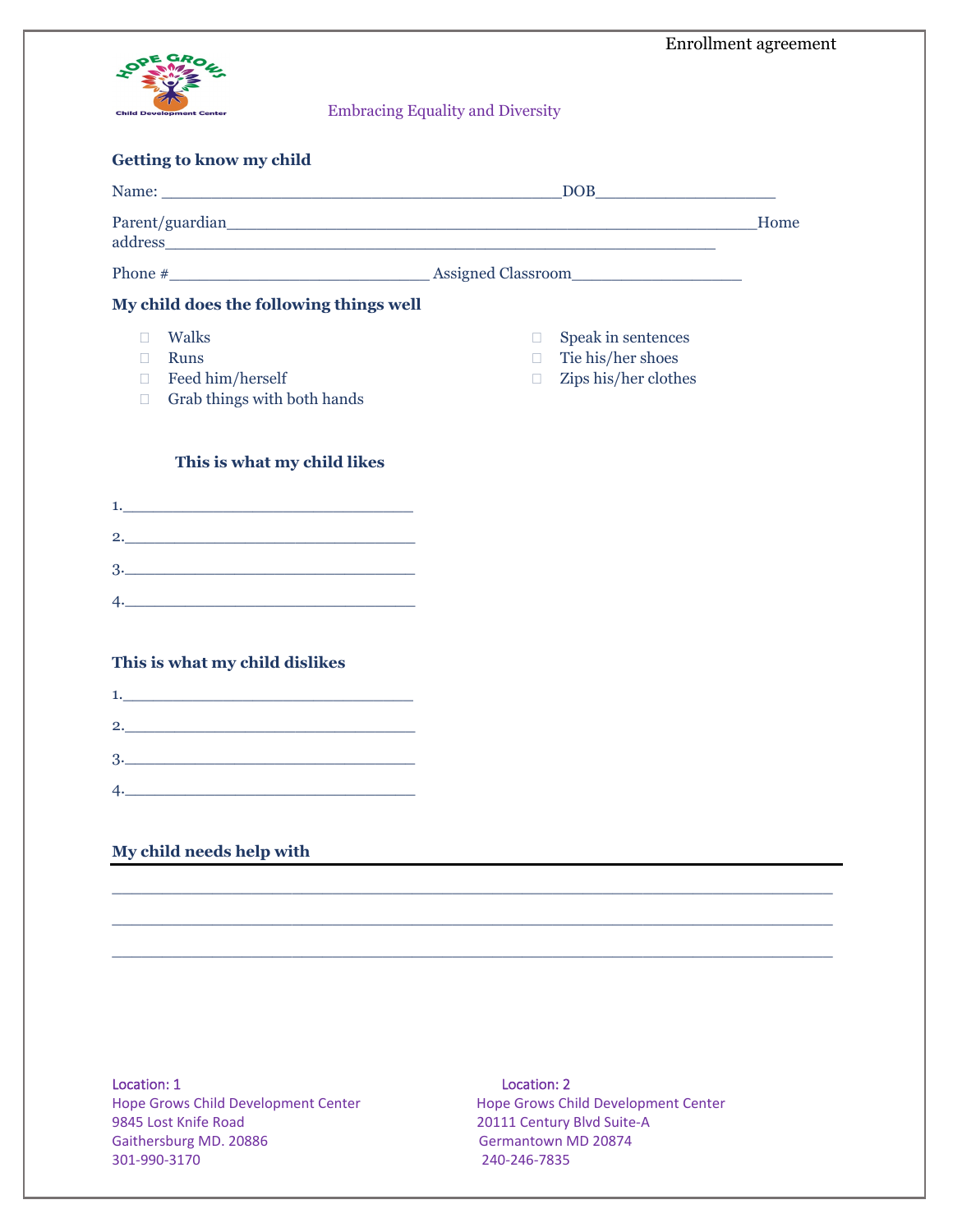

| <b>Embracing Equality and Diversity</b> |
|-----------------------------------------|
|-----------------------------------------|

### **Getting to know my child**

|                                                                                                                  | DOB                                                                                      |      |
|------------------------------------------------------------------------------------------------------------------|------------------------------------------------------------------------------------------|------|
|                                                                                                                  |                                                                                          | Home |
|                                                                                                                  |                                                                                          |      |
| My child does the following things well                                                                          |                                                                                          |      |
| Walks<br><b>Runs</b><br>Feed him/herself<br>П<br>Grab things with both hands<br>П<br>This is what my child likes | Speak in sentences<br>П<br>Tie his/her shoes<br>$\Box$<br>Zips his/her clothes<br>$\Box$ |      |
|                                                                                                                  |                                                                                          |      |
|                                                                                                                  |                                                                                          |      |
|                                                                                                                  |                                                                                          |      |
| the control of the control of the control of the control of the control of the control of                        |                                                                                          |      |
|                                                                                                                  |                                                                                          |      |

# **This is what my child dislikes**

|    | 2. |  |  |  |
|----|----|--|--|--|
| 3. |    |  |  |  |
|    |    |  |  |  |

# **My child needs help with**

Hope Grows Child Development Center Hope Grows Child Development Center 9845 Lost Knife Road 20111 Century Blvd Suite-A Gaithersburg MD. 20886 Germantown MD 20874 301-990-3170 240-246-7835

## Location: 1 Location: 2

 $\overline{\phantom{a}}$  , and the contribution of the contribution of the contribution of the contribution of the contribution of the contribution of the contribution of the contribution of the contribution of the contribution of the

 $\mathcal{L}_\mathcal{L}$  , and the set of the set of the set of the set of the set of the set of the set of the set of the set of the set of the set of the set of the set of the set of the set of the set of the set of the set of th

 $\mathcal{L}_\mathcal{L}$  , and the set of the set of the set of the set of the set of the set of the set of the set of the set of the set of the set of the set of the set of the set of the set of the set of the set of the set of th